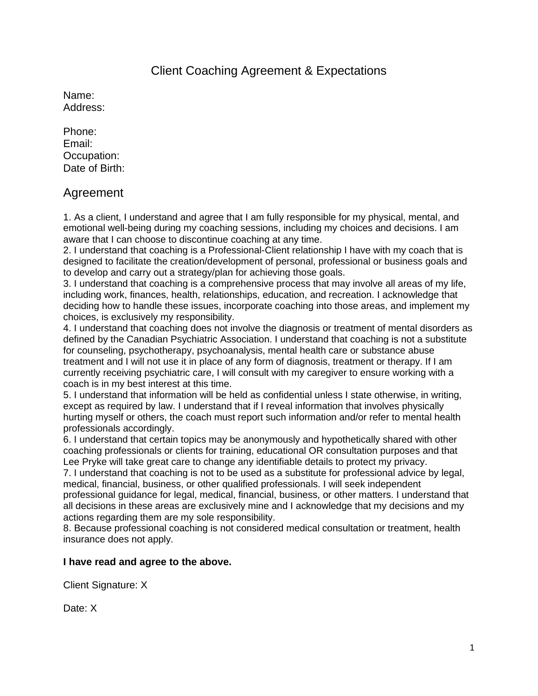### Client Coaching Agreement & Expectations

Name: Address:

Phone: Email: Occupation: Date of Birth:

### Agreement

1. As a client, I understand and agree that I am fully responsible for my physical, mental, and emotional well-being during my coaching sessions, including my choices and decisions. I am aware that I can choose to discontinue coaching at any time.

2. I understand that coaching is a Professional-Client relationship I have with my coach that is designed to facilitate the creation/development of personal, professional or business goals and to develop and carry out a strategy/plan for achieving those goals.

3. I understand that coaching is a comprehensive process that may involve all areas of my life, including work, finances, health, relationships, education, and recreation. I acknowledge that deciding how to handle these issues, incorporate coaching into those areas, and implement my choices, is exclusively my responsibility.

4. I understand that coaching does not involve the diagnosis or treatment of mental disorders as defined by the Canadian Psychiatric Association. I understand that coaching is not a substitute for counseling, psychotherapy, psychoanalysis, mental health care or substance abuse treatment and I will not use it in place of any form of diagnosis, treatment or therapy. If I am currently receiving psychiatric care, I will consult with my caregiver to ensure working with a coach is in my best interest at this time.

5. I understand that information will be held as confidential unless I state otherwise, in writing, except as required by law. I understand that if I reveal information that involves physically hurting myself or others, the coach must report such information and/or refer to mental health professionals accordingly.

6. I understand that certain topics may be anonymously and hypothetically shared with other coaching professionals or clients for training, educational OR consultation purposes and that Lee Pryke will take great care to change any identifiable details to protect my privacy.

7. I understand that coaching is not to be used as a substitute for professional advice by legal, medical, financial, business, or other qualified professionals. I will seek independent professional guidance for legal, medical, financial, business, or other matters. I understand that all decisions in these areas are exclusively mine and I acknowledge that my decisions and my actions regarding them are my sole responsibility.

8. Because professional coaching is not considered medical consultation or treatment, health insurance does not apply.

#### **I have read and agree to the above.**

Client Signature: X

Date: X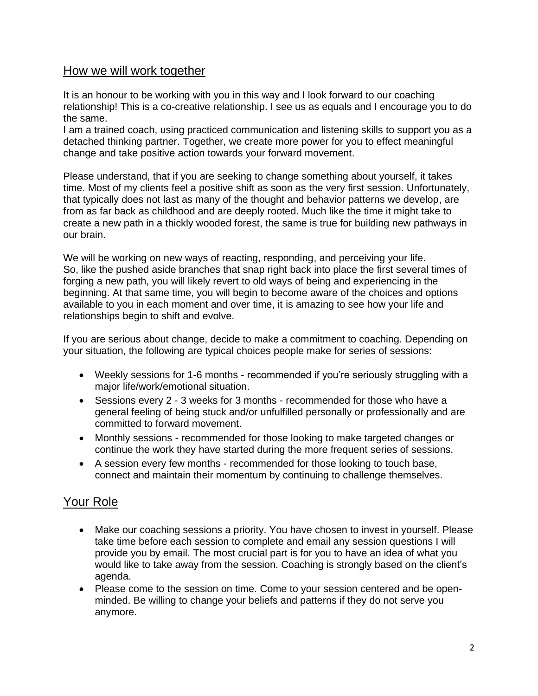#### How we will work together

It is an honour to be working with you in this way and I look forward to our coaching relationship! This is a co-creative relationship. I see us as equals and I encourage you to do the same.

I am a trained coach, using practiced communication and listening skills to support you as a detached thinking partner. Together, we create more power for you to effect meaningful change and take positive action towards your forward movement.

Please understand, that if you are seeking to change something about yourself, it takes time. Most of my clients feel a positive shift as soon as the very first session. Unfortunately, that typically does not last as many of the thought and behavior patterns we develop, are from as far back as childhood and are deeply rooted. Much like the time it might take to create a new path in a thickly wooded forest, the same is true for building new pathways in our brain.

We will be working on new ways of reacting, responding, and perceiving your life. So, like the pushed aside branches that snap right back into place the first several times of forging a new path, you will likely revert to old ways of being and experiencing in the beginning. At that same time, you will begin to become aware of the choices and options available to you in each moment and over time, it is amazing to see how your life and relationships begin to shift and evolve.

If you are serious about change, decide to make a commitment to coaching. Depending on your situation, the following are typical choices people make for series of sessions:

- Weekly sessions for 1-6 months recommended if you're seriously struggling with a major life/work/emotional situation.
- Sessions every 2 3 weeks for 3 months recommended for those who have a general feeling of being stuck and/or unfulfilled personally or professionally and are committed to forward movement.
- Monthly sessions recommended for those looking to make targeted changes or continue the work they have started during the more frequent series of sessions.
- A session every few months recommended for those looking to touch base, connect and maintain their momentum by continuing to challenge themselves.

# Your Role

- Make our coaching sessions a priority. You have chosen to invest in yourself. Please take time before each session to complete and email any session questions I will provide you by email. The most crucial part is for you to have an idea of what you would like to take away from the session. Coaching is strongly based on the client's agenda.
- Please come to the session on time. Come to your session centered and be openminded. Be willing to change your beliefs and patterns if they do not serve you anymore.